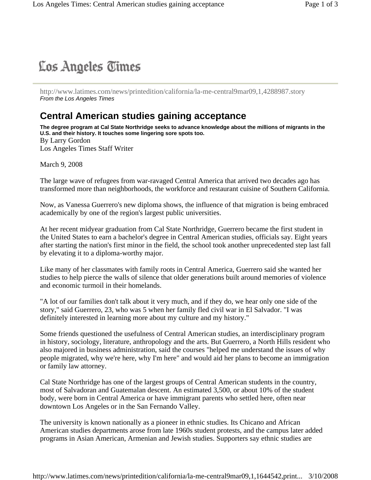# Los Angeles Times

http://www.latimes.com/news/printedition/california/la-me-central9mar09,1,4288987.story *From the Los Angeles Times*

## **Central American studies gaining acceptance**

**The degree program at Cal State Northridge seeks to advance knowledge about the millions of migrants in the U.S. and their history. It touches some lingering sore spots too.**  By Larry Gordon Los Angeles Times Staff Writer

March 9, 2008

The large wave of refugees from war-ravaged Central America that arrived two decades ago has transformed more than neighborhoods, the workforce and restaurant cuisine of Southern California.

Now, as Vanessa Guerrero's new diploma shows, the influence of that migration is being embraced academically by one of the region's largest public universities.

At her recent midyear graduation from Cal State Northridge, Guerrero became the first student in the United States to earn a bachelor's degree in Central American studies, officials say. Eight years after starting the nation's first minor in the field, the school took another unprecedented step last fall by elevating it to a diploma-worthy major.

Like many of her classmates with family roots in Central America, Guerrero said she wanted her studies to help pierce the walls of silence that older generations built around memories of violence and economic turmoil in their homelands.

"A lot of our families don't talk about it very much, and if they do, we hear only one side of the story," said Guerrero, 23, who was 5 when her family fled civil war in El Salvador. "I was definitely interested in learning more about my culture and my history."

Some friends questioned the usefulness of Central American studies, an interdisciplinary program in history, sociology, literature, anthropology and the arts. But Guerrero, a North Hills resident who also majored in business administration, said the courses "helped me understand the issues of why people migrated, why we're here, why I'm here" and would aid her plans to become an immigration or family law attorney.

Cal State Northridge has one of the largest groups of Central American students in the country, most of Salvadoran and Guatemalan descent. An estimated 3,500, or about 10% of the student body, were born in Central America or have immigrant parents who settled here, often near downtown Los Angeles or in the San Fernando Valley.

The university is known nationally as a pioneer in ethnic studies. Its Chicano and African American studies departments arose from late 1960s student protests, and the campus later added programs in Asian American, Armenian and Jewish studies. Supporters say ethnic studies are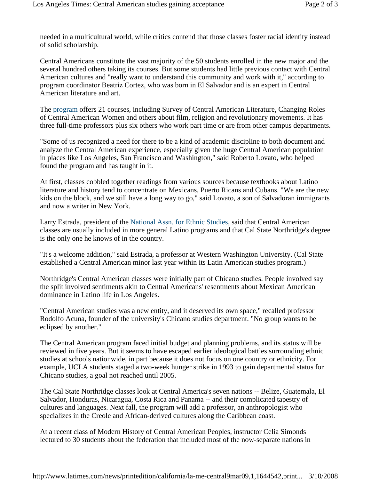needed in a multicultural world, while critics contend that those classes foster racial identity instead of solid scholarship.

Central Americans constitute the vast majority of the 50 students enrolled in the new major and the several hundred others taking its courses. But some students had little previous contact with Central American cultures and "really want to understand this community and work with it," according to program coordinator Beatriz Cortez, who was born in El Salvador and is an expert in Central American literature and art.

The program offers 21 courses, including Survey of Central American Literature, Changing Roles of Central American Women and others about film, religion and revolutionary movements. It has three full-time professors plus six others who work part time or are from other campus departments.

"Some of us recognized a need for there to be a kind of academic discipline to both document and analyze the Central American experience, especially given the huge Central American population in places like Los Angeles, San Francisco and Washington," said Roberto Lovato, who helped found the program and has taught in it.

At first, classes cobbled together readings from various sources because textbooks about Latino literature and history tend to concentrate on Mexicans, Puerto Ricans and Cubans. "We are the new kids on the block, and we still have a long way to go," said Lovato, a son of Salvadoran immigrants and now a writer in New York.

Larry Estrada, president of the National Assn. for Ethnic Studies, said that Central American classes are usually included in more general Latino programs and that Cal State Northridge's degree is the only one he knows of in the country.

"It's a welcome addition," said Estrada, a professor at Western Washington University. (Cal State established a Central American minor last year within its Latin American studies program.)

Northridge's Central American classes were initially part of Chicano studies. People involved say the split involved sentiments akin to Central Americans' resentments about Mexican American dominance in Latino life in Los Angeles.

"Central American studies was a new entity, and it deserved its own space," recalled professor Rodolfo Acuna, founder of the university's Chicano studies department. "No group wants to be eclipsed by another."

The Central American program faced initial budget and planning problems, and its status will be reviewed in five years. But it seems to have escaped earlier ideological battles surrounding ethnic studies at schools nationwide, in part because it does not focus on one country or ethnicity. For example, UCLA students staged a two-week hunger strike in 1993 to gain departmental status for Chicano studies, a goal not reached until 2005.

The Cal State Northridge classes look at Central America's seven nations -- Belize, Guatemala, El Salvador, Honduras, Nicaragua, Costa Rica and Panama -- and their complicated tapestry of cultures and languages. Next fall, the program will add a professor, an anthropologist who specializes in the Creole and African-derived cultures along the Caribbean coast.

At a recent class of Modern History of Central American Peoples, instructor Celia Simonds lectured to 30 students about the federation that included most of the now-separate nations in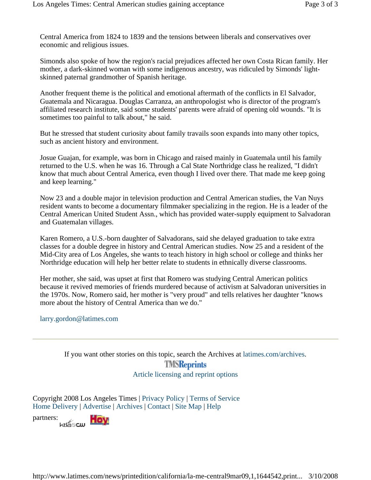Central America from 1824 to 1839 and the tensions between liberals and conservatives over economic and religious issues.

Simonds also spoke of how the region's racial prejudices affected her own Costa Rican family. Her mother, a dark-skinned woman with some indigenous ancestry, was ridiculed by Simonds' lightskinned paternal grandmother of Spanish heritage.

Another frequent theme is the political and emotional aftermath of the conflicts in El Salvador, Guatemala and Nicaragua. Douglas Carranza, an anthropologist who is director of the program's affiliated research institute, said some students' parents were afraid of opening old wounds. "It is sometimes too painful to talk about," he said.

But he stressed that student curiosity about family travails soon expands into many other topics, such as ancient history and environment.

Josue Guajan, for example, was born in Chicago and raised mainly in Guatemala until his family returned to the U.S. when he was 16. Through a Cal State Northridge class he realized, "I didn't know that much about Central America, even though I lived over there. That made me keep going and keep learning."

Now 23 and a double major in television production and Central American studies, the Van Nuys resident wants to become a documentary filmmaker specializing in the region. He is a leader of the Central American United Student Assn., which has provided water-supply equipment to Salvadoran and Guatemalan villages.

Karen Romero, a U.S.-born daughter of Salvadorans, said she delayed graduation to take extra classes for a double degree in history and Central American studies. Now 25 and a resident of the Mid-City area of Los Angeles, she wants to teach history in high school or college and thinks her Northridge education will help her better relate to students in ethnically diverse classrooms.

Her mother, she said, was upset at first that Romero was studying Central American politics because it revived memories of friends murdered because of activism at Salvadoran universities in the 1970s. Now, Romero said, her mother is "very proud" and tells relatives her daughter "knows more about the history of Central America than we do."

larry.gordon@latimes.com